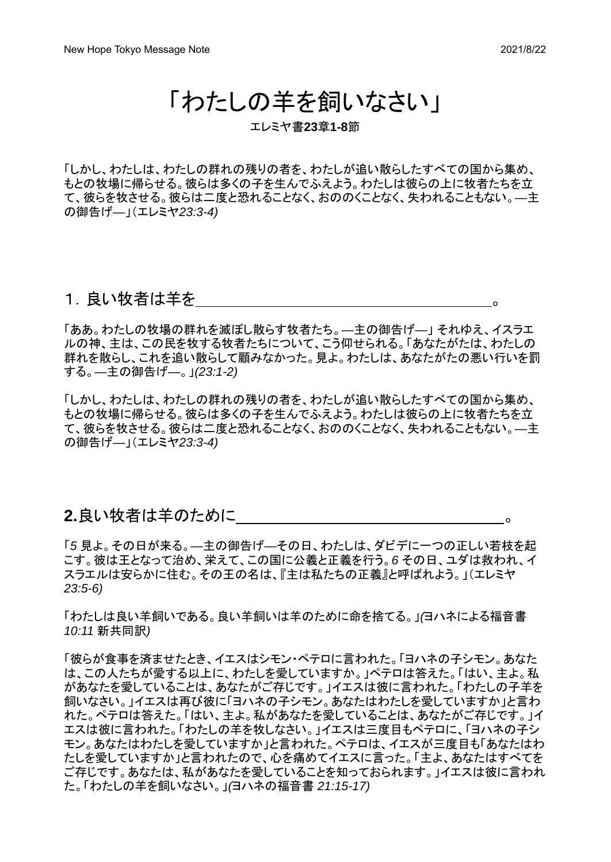# 「わたしの羊を飼いなさい」

エレミヤ書**23**章**1-8**節

「しかし、わたしは、わたしの群れの残りの者を、わたしが追い散らしたすべての国から集め、 もとの牧場に帰らせる。彼らは多くの子を生んでふえよう。わたしは彼らの上に牧者たちを立 て、彼らを牧させる。彼らは二度と恐れることなく、おののくことなく、失われることもない。*―*主 の御告げ*―*」(エレミヤ*23:3-4)*

#### 1. 良い牧者は羊を いっこう しょうしょう

「ああ。わたしの牧場の群れを滅ぼし散らす牧者たち。*―*主の御告げ*―*」 それゆえ、イスラエ ルの神、主は、この民を牧する牧者たちについて、こう仰せられる。「あなたがたは、わたしの 群れを散らし、これを追い散らして顧みなかった。見よ。わたしは、あなたがたの悪い行いを罰 する。*―*主の御告げ*―*。」*(23:1-2)*

「しかし、わたしは、わたしの群れの残りの者を、わたしが追い散らしたすべての国から集め、 もとの牧場に帰らせる。彼らは多くの子を生んでふえよう。わたしは彼らの上に牧者たちを立 て、彼らを牧させる。彼らは二度と恐れることなく、おののくことなく、失われることもない。*―*主 の御告げ*―*」(エレミヤ*23:3-4)*

#### **2.**良い牧者は羊のために 。

「*5* 見よ。その日が来る。*―*主の御告げ*―*その日、わたしは、ダビデに一つの正しい若枝を起 こす。彼は王となって治め、栄えて、この国に公義と正義を行う。*6* その日、ユダは救われ、イ スラエルは安らかに住む。その王の名は、『主は私たちの正義』と呼ばれよう。」(エレミヤ *23:5-6)*

「わたしは良い羊飼いである。良い羊飼いは羊のために命を捨てる。」*(*ヨハネによる福音書 *10:11* 新共同訳*)*

「彼らが食事を済ませたとき、イエスはシモン・ペテロに言われた。「ヨハネの子シモン。あなた は、この人たちが愛する以上に、わたしを愛していますか。」ペテロは答えた。「はい、主よ。私 があなたを愛していることは、あなたがご存じです。」イエスは彼に言われた。「わたしの子羊を 飼いなさい。」イエスは再び彼に「ヨハネの子シモン。あなたはわたしを愛していますか」と言わ れた。ペテロは答えた。「はい、主よ。私があなたを愛していることは、あなたがご存じです。」イ エスは彼に言われた。「わたしの羊を牧しなさい。」イエスは三度目もペテロに、「ヨハネの子シ モン。あなたはわたしを愛していますか」と言われた。ペテロは、イエスが三度目も「あなたはわ たしを愛していますか」と言われたので、心を痛めてイエスに言った。「主よ、あなたはすべてを ご存じです。あなたは、私があなたを愛していることを知っておられます。」イエスは彼に言われ た。「わたしの羊を飼いなさい。」*(*ヨハネの福音書 *21:15-17)*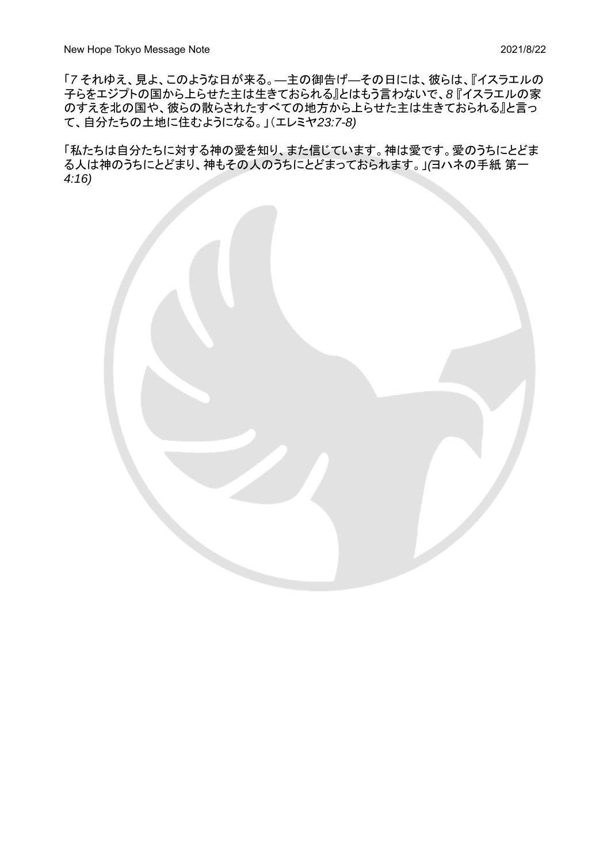「*7* それゆえ、見よ、このような日が来る。*―*主の御告げ*―*その日には、彼らは、『イスラエルの 子らをエジプトの国から上らせた主は生きておられる』とはもう言わないで、*8* 『イスラエルの家 のすえを北の国や、彼らの散らされたすべての地方から上らせた主は生きておられる』と言っ て、自分たちの土地に住むようになる。」(エレミヤ*23:7-8)*

「私たちは自分たちに対する神の愛を知り、また信じています。神は愛です。愛のうちにとどま る人は神のうちにとどまり、神もその人のうちにとどまっておられます。」*(*ヨハネの手紙 第一 *4:16)*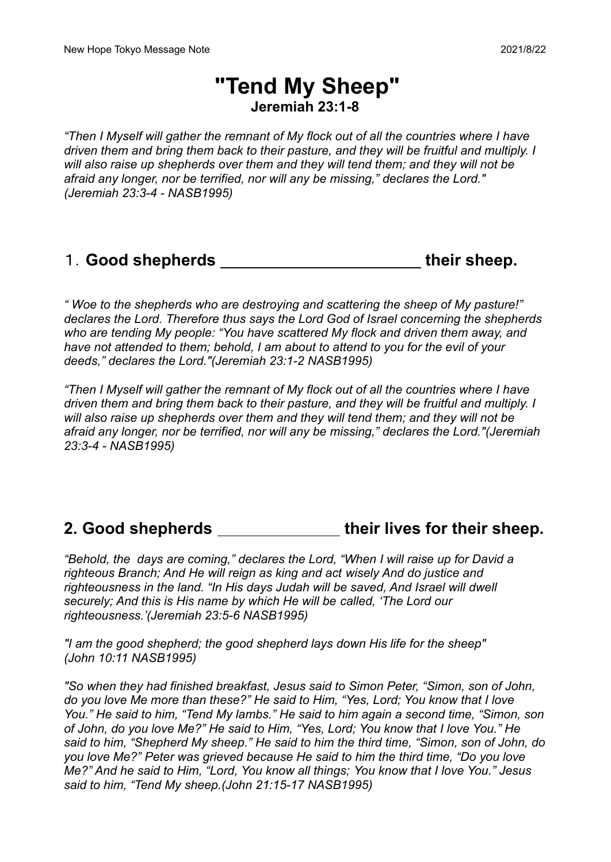## **"Tend My Sheep" Jeremiah 23:1-8**

*"Then I Myself will gather the remnant of My flock out of all the countries where I have driven them and bring them back to their pasture, and they will be fruitful and multiply. I will also raise up shepherds over them and they will tend them; and they will not be afraid any longer, nor be terrified, nor will any be missing," declares the Lord." (Jeremiah 23:3-4 - NASB1995)*

### 1.**Good shepherds their sheep.**

*" Woe to the shepherds who are destroying and scattering the sheep of My pasture!" declares the Lord. Therefore thus says the Lord God of Israel concerning the shepherds who are tending My people: "You have scattered My flock and driven them away, and have not attended to them; behold, I am about to attend to you for the evil of your deeds," declares the Lord."(Jeremiah 23:1-2 NASB1995)*

*"Then I Myself will gather the remnant of My flock out of all the countries where I have driven them and bring them back to their pasture, and they will be fruitful and multiply. I will also raise up shepherds over them and they will tend them; and they will not be afraid any longer, nor be terrified, nor will any be missing," declares the Lord."(Jeremiah 23:3-4 - NASB1995)*

### **2. Good shepherds their lives for their sheep.**

*"Behold, the days are coming," declares the Lord, "When I will raise up for David a righteous Branch; And He will reign as king and act wisely And do justice and righteousness in the land. "In His days Judah will be saved, And Israel will dwell securely; And this is His name by which He will be called, 'The Lord our righteousness.'(Jeremiah 23:5-6 NASB1995)*

*"I am the good shepherd; the good shepherd lays down His life for the sheep" (John 10:11 NASB1995)*

*"So when they had finished breakfast, Jesus said to Simon Peter, "Simon, son of John, do you love Me more than these?" He said to Him, "Yes, Lord; You know that I love You." He said to him, "Tend My lambs." He said to him again a second time, "Simon, son of John, do you love Me?" He said to Him, "Yes, Lord; You know that I love You." He said to him, "Shepherd My sheep." He said to him the third time, "Simon, son of John, do you love Me?" Peter was grieved because He said to him the third time, "Do you love Me?" And he said to Him, "Lord, You know all things; You know that I love You." Jesus said to him, "Tend My sheep.(John 21:15-17 NASB1995)*